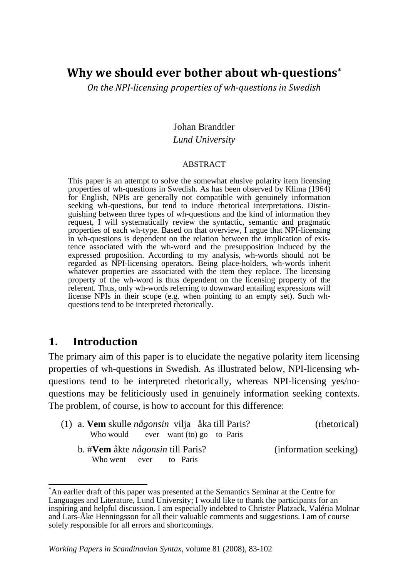# **Why we should ever bother about whquestions[\\*](#page-0-0)**

*On the NPIlicensing properties of whquestions in Swedish*

#### Johan Brandtler

#### *Lund University*

#### ABSTRACT

This paper is an attempt to solve the somewhat elusive polarity item licensing properties of wh-questions in Swedish. As has been observed by Klima (1964) for English, NPIs are generally not compatible with genuinely information seeking wh-questions, but tend to induce rhetorical interpretations. Distinguishing between three types of wh-questions and the kind of information they request, I will systematically review the syntactic, semantic and pragmatic properties of each wh-type. Based on that overview, I argue that NPI-licensing in wh-questions is dependent on the relation between the implication of existence associated with the wh-word and the presupposition induced by the expressed proposition. According to my analysis, wh-words should not be regarded as NPI-licensing operators. Being place-holders, wh-words inherit whatever properties are associated with the item they replace. The licensing property of the wh-word is thus dependent on the licensing property of the referent. Thus, only wh-words referring to downward entailing expressions will license NPIs in their scope (e.g. when pointing to an empty set). Such whquestions tend to be interpreted rhetorically.

# **1. Introduction**

The primary aim of this paper is to elucidate the negative polarity item licensing properties of wh-questions in Swedish. As illustrated below, NPI-licensing whquestions tend to be interpreted rhetorically, whereas NPI-licensing yes/noquestions may be feliticiously used in genuinely information seeking contexts. The problem, of course, is how to account for this difference:

| (1) a. <b>Vem</b> skulle <i>någonsin</i> vilja åka till Paris? |  |                                        |  | (rhetorical) |
|----------------------------------------------------------------|--|----------------------------------------|--|--------------|
|                                                                |  | Who would ever want $(to)$ go to Paris |  |              |
| b. #Vem åkte <i>någonsin</i> till Paris?                       |  | (information seeking)                  |  |              |
| Who went ever to Paris                                         |  |                                        |  |              |

<span id="page-0-0"></span> $\label{eq:2.1} \frac{1}{\sqrt{2\pi}}\int_{0}^{\pi} \frac{1}{\sqrt{2\pi}}\left(\frac{1}{\sqrt{2\pi}}\right)^{2\pi} \frac{1}{\sqrt{2\pi}}\int_{0}^{\pi} \frac{1}{\sqrt{2\pi}}\left(\frac{1}{\sqrt{2\pi}}\right)^{2\pi} \frac{1}{\sqrt{2\pi}}\int_{0}^{\pi} \frac{1}{\sqrt{2\pi}}\frac{1}{\sqrt{2\pi}}\frac{1}{\sqrt{2\pi}}\frac{1}{\sqrt{2\pi}}\frac{1}{\sqrt{2\pi}}\int_{0}^{\pi} \frac{1}{\sqrt{2\pi$ \* An earlier draft of this paper was presented at the Semantics Seminar at the Centre for Languages and Literature, Lund University; I would like to thank the participants for an inspiring and helpful discussion. I am especially indebted to Christer Platzack, Valéria Molnar and Lars-Åke Henningsson for all their valuable comments and suggestions. I am of course solely responsible for all errors and shortcomings.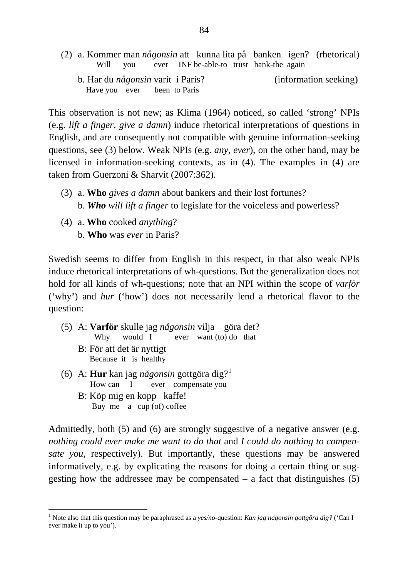(2) a. Kommer man *någonsin* att kunna lita på banken igen? (rhetorical) Will you ever INF be-able-to trust bank-the again b. Har du *någonsin* varit i Paris? (information seeking) Have you ever been to Paris

This observation is not new; as Klima (1964) noticed, so called 'strong' NPIs (e.g. *lift a finger*, *give a damn*) induce rhetorical interpretations of questions in English, and are consequently not compatible with genuine information-seeking questions, see (3) below. Weak NPIs (e.g. *any*, *ever*), on the other hand, may be licensed in information-seeking contexts, as in (4). The examples in (4) are taken from Guerzoni & Sharvit (2007:362).

- (3) a. **Who** *gives a damn* about bankers and their lost fortunes? b. *Who will lift a finger* to legislate for the voiceless and powerless?
- (4) a. **Who** cooked *anything*? b. **Who** was *ever* in Paris?

Swedish seems to differ from English in this respect, in that also weak NPIs induce rhetorical interpretations of wh-questions. But the generalization does not hold for all kinds of wh-questions; note that an NPI within the scope of *varför* ('why') and *hur* ('how') does not necessarily lend a rhetorical flavor to the question:

- (5) A: **Varför** skulle jag *någonsin* vilja göra det? Why would I ever want (to) do that
	- B: För att det är nyttigt Because it is healthy

- (6) A: **Hur** kan jag *någonsin* gottgöra dig?[1](#page-1-0) How can I ever compensate you B: Köp mig en kopp kaffe!
	- Buy me a cup (of) coffee

Admittedly, both (5) and (6) are strongly suggestive of a negative answer (e.g. *nothing could ever make me want to do that* and *I could do nothing to compensate you*, respectively). But importantly, these questions may be answered informatively, e.g. by explicating the reasons for doing a certain thing or suggesting how the addressee may be compensated  $-$  a fact that distinguishes (5)

<span id="page-1-0"></span><sup>1</sup> Note also that this question may be paraphrased as a *yes/no*-question: *Kan jag någonsin gottgöra dig?* ('Can I ever make it up to you').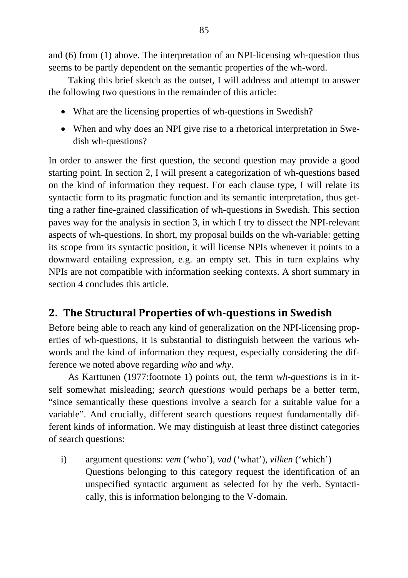and (6) from (1) above. The interpretation of an NPI-licensing wh-question thus seems to be partly dependent on the semantic properties of the wh-word.

 Taking this brief sketch as the outset, I will address and attempt to answer the following two questions in the remainder of this article:

- What are the licensing properties of wh-questions in Swedish?
- When and why does an NPI give rise to a rhetorical interpretation in Swedish wh-questions?

In order to answer the first question, the second question may provide a good starting point. In section 2, I will present a categorization of wh-questions based on the kind of information they request. For each clause type, I will relate its syntactic form to its pragmatic function and its semantic interpretation, thus getting a rather fine-grained classification of wh-questions in Swedish. This section paves way for the analysis in section 3, in which I try to dissect the NPI-relevant aspects of wh-questions. In short, my proposal builds on the wh-variable: getting its scope from its syntactic position, it will license NPIs whenever it points to a downward entailing expression, e.g. an empty set. This in turn explains why NPIs are not compatible with information seeking contexts. A short summary in section 4 concludes this article.

# **2. The Structural Properties of whquestions in Swedish**

Before being able to reach any kind of generalization on the NPI-licensing properties of wh-questions, it is substantial to distinguish between the various whwords and the kind of information they request, especially considering the difference we noted above regarding *who* and *why*.

 As Karttunen (1977:footnote 1) points out, the term *wh-questions* is in itself somewhat misleading; *search questions* would perhaps be a better term, "since semantically these questions involve a search for a suitable value for a variable". And crucially, different search questions request fundamentally different kinds of information. We may distinguish at least three distinct categories of search questions:

i) argument questions: *vem* ('who')*, vad* ('what'), *vilken* ('which') Questions belonging to this category request the identification of an unspecified syntactic argument as selected for by the verb. Syntactically, this is information belonging to the V-domain.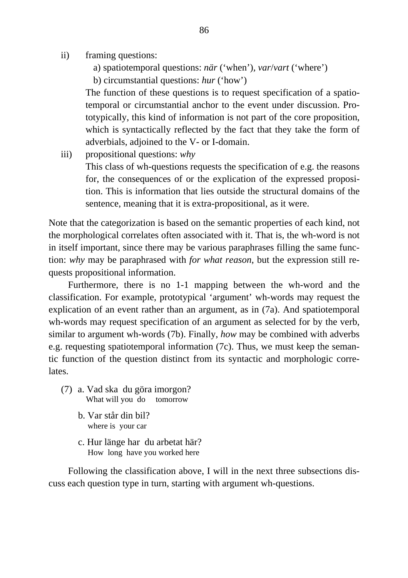- ii) framing questions:
	- a) spatiotemporal questions: *när* ('when')*, var*/*vart* ('where')
	- b) circumstantial questions: *hur* ('how')

The function of these questions is to request specification of a spatiotemporal or circumstantial anchor to the event under discussion. Prototypically, this kind of information is not part of the core proposition, which is syntactically reflected by the fact that they take the form of adverbials, adjoined to the V- or I-domain.

iii) propositional questions: *why* 

This class of wh-questions requests the specification of e.g. the reasons for, the consequences of or the explication of the expressed proposition. This is information that lies outside the structural domains of the sentence, meaning that it is extra-propositional, as it were.

Note that the categorization is based on the semantic properties of each kind, not the morphological correlates often associated with it. That is, the wh-word is not in itself important, since there may be various paraphrases filling the same function: *why* may be paraphrased with *for what reason*, but the expression still requests propositional information.

 Furthermore, there is no 1-1 mapping between the wh-word and the classification. For example, prototypical 'argument' wh-words may request the explication of an event rather than an argument, as in (7a). And spatiotemporal wh-words may request specification of an argument as selected for by the verb, similar to argument wh-words (7b). Finally, *how* may be combined with adverbs e.g. requesting spatiotemporal information (7c). Thus, we must keep the semantic function of the question distinct from its syntactic and morphologic correlates.

- (7) a. Vad ska du göra imorgon? What will you do tomorrow
	- b. Var står din bil? where is your car
	- c. Hur länge har du arbetat här? How long have you worked here

 Following the classification above, I will in the next three subsections discuss each question type in turn, starting with argument wh-questions.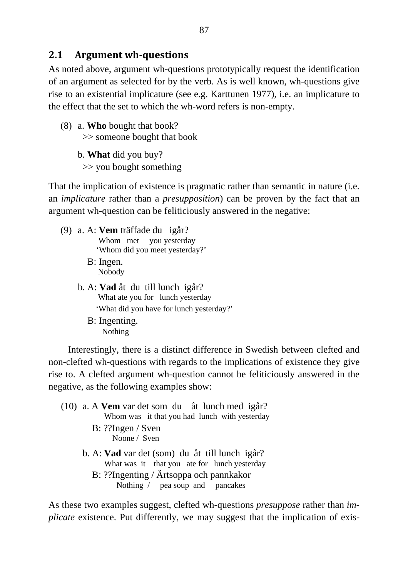#### **2.1 Argument whquestions**

As noted above, argument wh-questions prototypically request the identification of an argument as selected for by the verb. As is well known, wh-questions give rise to an existential implicature (see e.g. Karttunen 1977), i.e. an implicature to the effect that the set to which the wh-word refers is non-empty.

(8) a. **Who** bought that book? >> someone bought that book

> b. **What** did you buy? >> you bought something

That the implication of existence is pragmatic rather than semantic in nature (i.e. an *implicature* rather than a *presupposition*) can be proven by the fact that an argument wh-question can be feliticiously answered in the negative:

- (9) a. A: **Vem** träffade du igår? Whom met you yesterday 'Whom did you meet yesterday?' B: Ingen.
	- Nobody
	- b. A: **Vad** åt du till lunch igår? What ate you for lunch yesterday 'What did you have for lunch yesterday?'
		- B: Ingenting. Nothing

 Interestingly, there is a distinct difference in Swedish between clefted and non-clefted wh-questions with regards to the implications of existence they give rise to. A clefted argument wh-question cannot be feliticiously answered in the negative, as the following examples show:

- (10) a. A **Vem** var det som du åt lunch med igår? Whom was it that you had lunch with yesterday B: ??Ingen / Sven Noone / Sven b. A: **Vad** var det (som) du åt till lunch igår? What was it that you ate for lunch yesterday
	- B: ??Ingenting / Ärtsoppa och pannkakor Nothing / pea soup and pancakes

As these two examples suggest, clefted wh-questions *presuppose* rather than *implicate* existence. Put differently, we may suggest that the implication of exis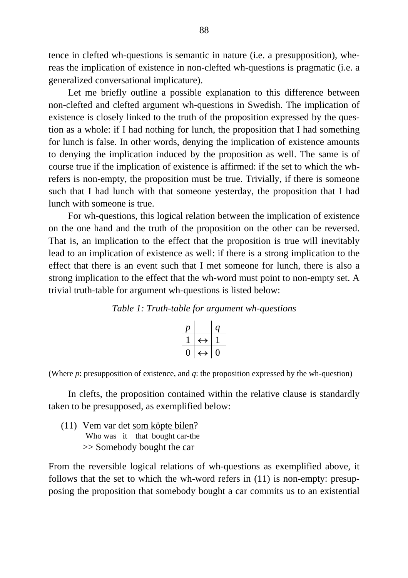tence in clefted wh-questions is semantic in nature (i.e. a presupposition), whereas the implication of existence in non-clefted wh-questions is pragmatic (i.e. a generalized conversational implicature).

 Let me briefly outline a possible explanation to this difference between non-clefted and clefted argument wh-questions in Swedish. The implication of existence is closely linked to the truth of the proposition expressed by the question as a whole: if I had nothing for lunch, the proposition that I had something for lunch is false. In other words, denying the implication of existence amounts to denying the implication induced by the proposition as well. The same is of course true if the implication of existence is affirmed: if the set to which the whrefers is non-empty, the proposition must be true. Trivially, if there is someone such that I had lunch with that someone yesterday, the proposition that I had lunch with someone is true.

 For wh-questions, this logical relation between the implication of existence on the one hand and the truth of the proposition on the other can be reversed. That is, an implication to the effect that the proposition is true will inevitably lead to an implication of existence as well: if there is a strong implication to the effect that there is an event such that I met someone for lunch, there is also a strong implication to the effect that the wh-word must point to non-empty set. A trivial truth-table for argument wh-questions is listed below:

#### *Table 1: Truth-table for argument wh-questions*

|   |                   | G |
|---|-------------------|---|
|   | $\leftrightarrow$ |   |
| L | $\leftrightarrow$ |   |

(Where *p*: presupposition of existence, and *q*: the proposition expressed by the wh-question)

 In clefts, the proposition contained within the relative clause is standardly taken to be presupposed, as exemplified below:

(11) Vem var det som köpte bilen? Who was it that bought car-the >> Somebody bought the car

From the reversible logical relations of wh-questions as exemplified above, it follows that the set to which the wh-word refers in (11) is non-empty: presupposing the proposition that somebody bought a car commits us to an existential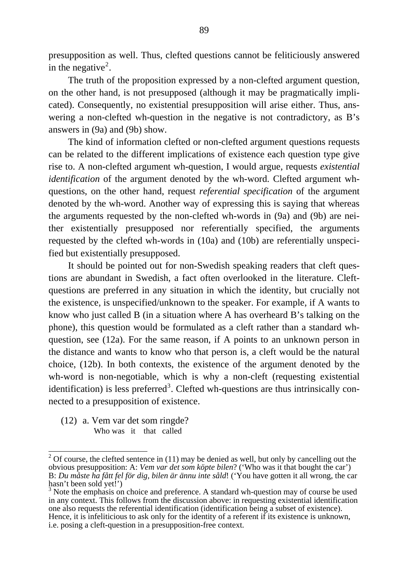presupposition as well. Thus, clefted questions cannot be feliticiously answered in the negative<sup>[2](#page-6-0)</sup>.

 The truth of the proposition expressed by a non-clefted argument question, on the other hand, is not presupposed (although it may be pragmatically implicated). Consequently, no existential presupposition will arise either. Thus, answering a non-clefted wh-question in the negative is not contradictory, as B's answers in (9a) and (9b) show.

 The kind of information clefted or non-clefted argument questions requests can be related to the different implications of existence each question type give rise to. A non-clefted argument wh-question, I would argue, requests *existential identification* of the argument denoted by the wh-word. Clefted argument whquestions, on the other hand, request *referential specification* of the argument denoted by the wh-word. Another way of expressing this is saying that whereas the arguments requested by the non-clefted wh-words in (9a) and (9b) are neither existentially presupposed nor referentially specified, the arguments requested by the clefted wh-words in (10a) and (10b) are referentially unspecified but existentially presupposed.

 It should be pointed out for non-Swedish speaking readers that cleft questions are abundant in Swedish, a fact often overlooked in the literature. Cleftquestions are preferred in any situation in which the identity, but crucially not the existence, is unspecified/unknown to the speaker. For example, if A wants to know who just called B (in a situation where A has overheard B's talking on the phone), this question would be formulated as a cleft rather than a standard whquestion, see (12a). For the same reason, if A points to an unknown person in the distance and wants to know who that person is, a cleft would be the natural choice, (12b). In both contexts, the existence of the argument denoted by the wh-word is non-negotiable, which is why a non-cleft (requesting existential identification) is less preferred<sup>[3](#page-6-1)</sup>. Clefted wh-questions are thus intrinsically connected to a presupposition of existence.

(12) a. Vem var det som ringde? Who was it that called

<span id="page-6-0"></span> $\frac{1}{2}$  Of course, the clefted sentence in (11) may be denied as well, but only by cancelling out the obvious presupposition: A: *Vem var det som köpte bilen*? ('Who was it that bought the car') B: *Du måste ha fått fel för dig, bilen är ännu inte såld*! ('You have gotten it all wrong, the car hasn't been sold yet!')

<span id="page-6-1"></span><sup>&</sup>lt;sup>3</sup> Note the emphasis on choice and preference. A standard wh-question may of course be used in any context. This follows from the discussion above: in requesting existential identification one also requests the referential identification (identification being a subset of existence). Hence, it is infeliticious to ask only for the identity of a referent if its existence is unknown, i.e. posing a cleft-question in a presupposition-free context.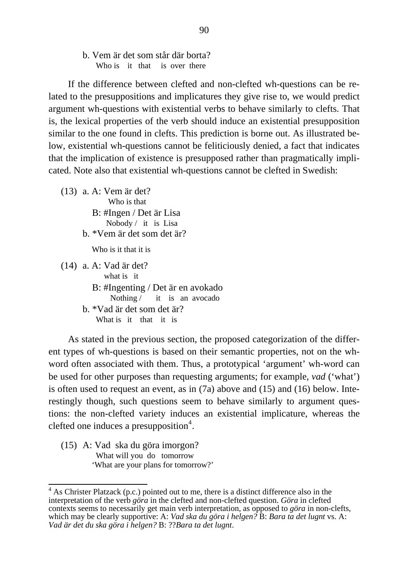b. Vem är det som står där borta? Who is it that is over there

 If the difference between clefted and non-clefted wh-questions can be related to the presuppositions and implicatures they give rise to, we would predict argument wh-questions with existential verbs to behave similarly to clefts. That is, the lexical properties of the verb should induce an existential presupposition similar to the one found in clefts. This prediction is borne out. As illustrated below, existential wh-questions cannot be feliticiously denied, a fact that indicates that the implication of existence is presupposed rather than pragmatically implicated. Note also that existential wh-questions cannot be clefted in Swedish:

(13) a. A: Vem är det? Who is that B: #Ingen / Det är Lisa Nobody / it is Lisa b. \*Vem är det som det är? Who is it that it is (14) a. A: Vad är det? what is it B: #Ingenting / Det är en avokado Nothing / it is an avocado b. \*Vad är det som det är? What is it that it is

 As stated in the previous section, the proposed categorization of the different types of wh-questions is based on their semantic properties, not on the whword often associated with them. Thus, a prototypical 'argument' wh-word can be used for other purposes than requesting arguments; for example, *vad* ('what') is often used to request an event, as in (7a) above and (15) and (16) below. Interestingly though, such questions seem to behave similarly to argument questions: the non-clefted variety induces an existential implicature, whereas the clefted one induces a presupposition<sup>[4](#page-7-0)</sup>.

(15) A: Vad ska du göra imorgon? What will you do tomorrow 'What are your plans for tomorrow?'

<span id="page-7-0"></span> $\frac{4}{4}$  As Christer Platzack (p.c.) pointed out to me, there is a distinct difference also in the interpretation of the verb *göra* in the clefted and non-clefted question. *Göra* in clefted contexts seems to necessarily get main verb interpretation, as opposed to *göra* in non-clefts, which may be clearly supportive: A: *Vad ska du göra i helgen?* B: *Bara ta det lugnt* vs. A: *Vad är det du ska göra i helgen?* B: ??*Bara ta det lugnt*.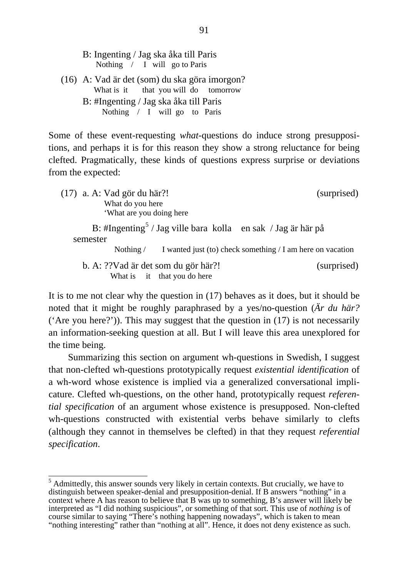B: Ingenting / Jag ska åka till Paris Nothing / I will go to Paris

(16) A: Vad är det (som) du ska göra imorgon? What is it that you will do tomorrow B: #Ingenting / Jag ska åka till Paris Nothing / I will go to Paris

Some of these event-requesting *what*-questions do induce strong presuppositions, and perhaps it is for this reason they show a strong reluctance for being clefted. Pragmatically, these kinds of questions express surprise or deviations from the expected:

(17) a. A: Vad gör du här?! (surprised) What do you here 'What are you doing here

B: #Ingenting<sup>[5](#page-8-0)</sup> / Jag ville bara kolla en sak / Jag är här på semester

Nothing / I wanted just (to) check something / I am here on vacation

 b. A: ??Vad är det som du gör här?! (surprised) What is it that you do here

It is to me not clear why the question in (17) behaves as it does, but it should be noted that it might be roughly paraphrased by a yes/no-question (*Är du här?* ('Are you here?')). This may suggest that the question in  $(17)$  is not necessarily an information-seeking question at all. But I will leave this area unexplored for the time being.

 Summarizing this section on argument wh-questions in Swedish, I suggest that non-clefted wh-questions prototypically request *existential identification* of a wh-word whose existence is implied via a generalized conversational implicature. Clefted wh-questions, on the other hand, prototypically request *referential specification* of an argument whose existence is presupposed. Non-clefted wh-questions constructed with existential verbs behave similarly to clefts (although they cannot in themselves be clefted) in that they request *referential specification*.

<span id="page-8-0"></span>  $<sup>5</sup>$  Admittedly, this answer sounds very likely in certain contexts. But crucially, we have to</sup> distinguish between speaker-denial and presupposition-denial. If B answers "nothing" in a context where A has reason to believe that B was up to something, B's answer will likely be interpreted as "I did nothing suspicious", or something of that sort. This use of *nothing* is of course similar to saying "There's nothing happening nowadays", which is taken to mean "nothing interesting" rather than "nothing at all". Hence, it does not deny existence as such.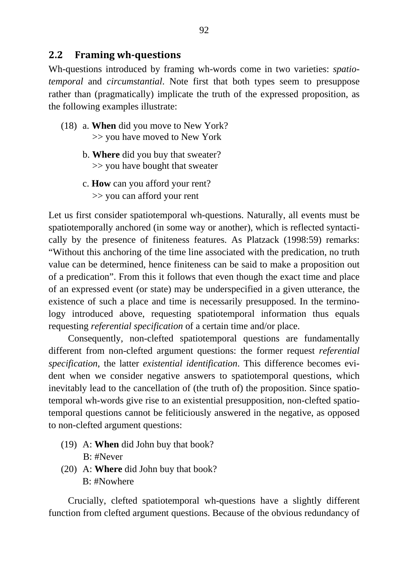#### **2.2 Framing whquestions**

Wh-questions introduced by framing wh-words come in two varieties: *spatiotemporal* and *circumstantial*. Note first that both types seem to presuppose rather than (pragmatically) implicate the truth of the expressed proposition, as the following examples illustrate:

- (18) a. **When** did you move to New York? >> you have moved to New York
	- b. **Where** did you buy that sweater? >> you have bought that sweater
	- c. **How** can you afford your rent? >> you can afford your rent

Let us first consider spatiotemporal wh-questions. Naturally, all events must be spatiotemporally anchored (in some way or another), which is reflected syntactically by the presence of finiteness features. As Platzack (1998:59) remarks: "Without this anchoring of the time line associated with the predication, no truth value can be determined, hence finiteness can be said to make a proposition out of a predication". From this it follows that even though the exact time and place of an expressed event (or state) may be underspecified in a given utterance, the existence of such a place and time is necessarily presupposed. In the terminology introduced above, requesting spatiotemporal information thus equals requesting *referential specification* of a certain time and/or place.

 Consequently, non-clefted spatiotemporal questions are fundamentally different from non-clefted argument questions: the former request *referential specification*, the latter *existential identification*. This difference becomes evident when we consider negative answers to spatiotemporal questions, which inevitably lead to the cancellation of (the truth of) the proposition. Since spatiotemporal wh-words give rise to an existential presupposition, non-clefted spatiotemporal questions cannot be feliticiously answered in the negative, as opposed to non-clefted argument questions:

- (19) A: **When** did John buy that book? B: #Never
- (20) A: **Where** did John buy that book? B: #Nowhere

 Crucially, clefted spatiotemporal wh-questions have a slightly different function from clefted argument questions. Because of the obvious redundancy of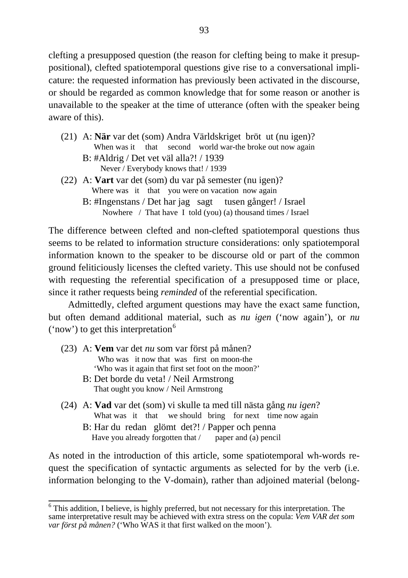clefting a presupposed question (the reason for clefting being to make it presuppositional), clefted spatiotemporal questions give rise to a conversational implicature: the requested information has previously been activated in the discourse, or should be regarded as common knowledge that for some reason or another is unavailable to the speaker at the time of utterance (often with the speaker being aware of this).

- (21) A: **När** var det (som) Andra Världskriget bröt ut (nu igen)? When was it that second world war-the broke out now again B: #Aldrig / Det vet väl alla?! / 1939 Never / Everybody knows that! / 1939
- (22) A: **Vart** var det (som) du var på semester (nu igen)? Where was it that you were on vacation now again
	- B: #Ingenstans / Det har jag sagt tusen gånger! / Israel Nowhere / That have I told (you) (a) thousand times / Israel

The difference between clefted and non-clefted spatiotemporal questions thus seems to be related to information structure considerations: only spatiotemporal information known to the speaker to be discourse old or part of the common ground feliticiously licenses the clefted variety. This use should not be confused with requesting the referential specification of a presupposed time or place, since it rather requests being *reminded* of the referential specification.

 Admittedly, clefted argument questions may have the exact same function, but often demand additional material, such as *nu igen* ('now again'), or *nu*  $('now')$  to get this interpretation<sup>[6](#page-10-0)</sup>

- (23) A: **Vem** var det *nu* som var först på månen? Who was it now that was first on moon-the 'Who was it again that first set foot on the moon?'
	- B: Det borde du veta! / Neil Armstrong That ought you know / Neil Armstrong
- (24) A: **Vad** var det (som) vi skulle ta med till nästa gång *nu igen*? What was it that we should bring for next time now again B: Har du redan glömt det?! / Papper och penna Have you already forgotten that  $/$  paper and (a) pencil

As noted in the introduction of this article, some spatiotemporal wh-words request the specification of syntactic arguments as selected for by the verb (i.e. information belonging to the V-domain), rather than adjoined material (belong-

<span id="page-10-0"></span><sup>&</sup>lt;sup>6</sup>This addition, I believe, is highly preferred, but not necessary for this interpretation. The same interpretative result may be achieved with extra stress on the copula: *Vem VAR det som var först på månen?* ('Who WAS it that first walked on the moon').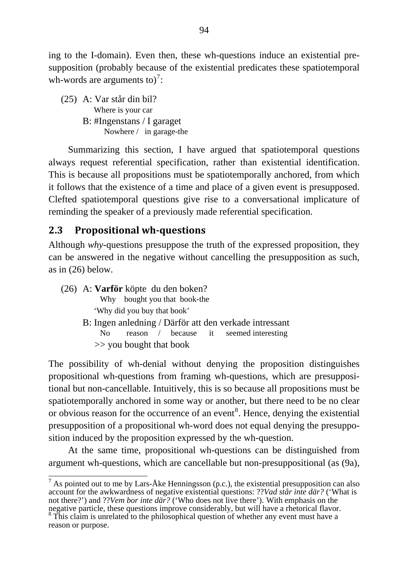ing to the I-domain). Even then, these wh-questions induce an existential presupposition (probably because of the existential predicates these spatiotemporal wh-words are arguments to)<sup>[7](#page-11-0)</sup>:

(25) A: Var står din bil? Where is your car B: #Ingenstans / I garaget Nowhere / in garage-the

 Summarizing this section, I have argued that spatiotemporal questions always request referential specification, rather than existential identification. This is because all propositions must be spatiotemporally anchored, from which it follows that the existence of a time and place of a given event is presupposed. Clefted spatiotemporal questions give rise to a conversational implicature of reminding the speaker of a previously made referential specification.

## **2.3 Propositional whquestions**

Although *why*-questions presuppose the truth of the expressed proposition, they can be answered in the negative without cancelling the presupposition as such, as in (26) below.

| (26) A: <b>Varför</b> köpte du den boken?              |                            |  |                              |  |                                        |  |  |
|--------------------------------------------------------|----------------------------|--|------------------------------|--|----------------------------------------|--|--|
|                                                        |                            |  | Why bought you that book-the |  |                                        |  |  |
| 'Why did you buy that book'                            |                            |  |                              |  |                                        |  |  |
| B: Ingen anledning / Därför att den verkade intressant |                            |  |                              |  |                                        |  |  |
| No.                                                    |                            |  |                              |  | reason / because it seemed interesting |  |  |
|                                                        | $\gg$ you bought that book |  |                              |  |                                        |  |  |

The possibility of wh-denial without denying the proposition distinguishes propositional wh-questions from framing wh-questions, which are presuppositional but non-cancellable. Intuitively, this is so because all propositions must be spatiotemporally anchored in some way or another, but there need to be no clear or obvious reason for the occurrence of an event<sup>[8](#page-11-1)</sup>. Hence, denying the existential presupposition of a propositional wh-word does not equal denying the presupposition induced by the proposition expressed by the wh-question.

 At the same time, propositional wh-questions can be distinguished from argument wh-questions, which are cancellable but non-presuppositional (as (9a),

<span id="page-11-1"></span><span id="page-11-0"></span> $\frac{7}{7}$  As pointed out to me by Lars-Åke Henningsson (p.c.), the existential presupposition can also account for the awkwardness of negative existential questions: ??*Vad står inte där?* ('What is not there?') and ??*Vem bor inte där?* ('Who does not live there'). With emphasis on the negative particle, these questions improve considerably, but will have a rhetorical flavor. <sup>8</sup> This claim is unrelated to the philosophical question of whether any event must have a reason or purpose.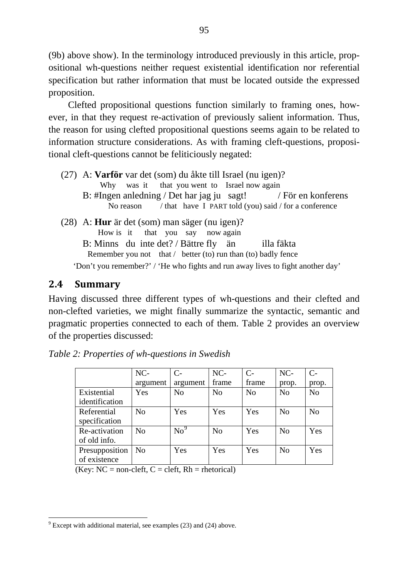(9b) above show). In the terminology introduced previously in this article, propositional wh-questions neither request existential identification nor referential specification but rather information that must be located outside the expressed proposition.

 Clefted propositional questions function similarly to framing ones, however, in that they request re-activation of previously salient information. Thus, the reason for using clefted propositional questions seems again to be related to information structure considerations. As with framing cleft-questions, propositional cleft-questions cannot be feliticiously negated:

- (27) A: **Varför** var det (som) du åkte till Israel (nu igen)? Why was it that you went to Israel now again B: #Ingen anledning / Det har jag ju sagt! / För en konferens No reason / that have I PART told (you) said / for a conference (28) A: **Hur** är det (som) man säger (nu igen)? How is it that you say now again
	- B: Minns du inte det? / Bättre fly än illa fäkta Remember you not that / better (to) run than (to) badly fence

'Don't you remember?' / 'He who fights and run away lives to fight another day'

## **2.4 Summary**

Having discussed three different types of wh-questions and their clefted and non-clefted varieties, we might finally summarize the syntactic, semantic and pragmatic properties connected to each of them. Table 2 provides an overview of the properties discussed:

|                | NC-            | $C-$            | $NC-$          | $C-$           | NC-            | $\mathsf{C}\text{-}$ |
|----------------|----------------|-----------------|----------------|----------------|----------------|----------------------|
|                | argument       | argument        | frame          | frame          | prop.          | prop.                |
| Existential    | Yes            | N <sub>o</sub>  | N <sub>o</sub> | N <sub>o</sub> | N <sub>0</sub> | No                   |
| identification |                |                 |                |                |                |                      |
| Referential    | N <sub>0</sub> | Yes             | Yes            | Yes            | N <sub>0</sub> | N <sub>0</sub>       |
| specification  |                |                 |                |                |                |                      |
| Re-activation  | No             | $\mathrm{No}^9$ | N <sub>0</sub> | Yes            | N <sub>0</sub> | Yes                  |
| of old info.   |                |                 |                |                |                |                      |
| Presupposition | N <sub>0</sub> | Yes             | Yes            | Yes            | N <sub>0</sub> | Yes                  |
| of existence   |                |                 |                |                |                |                      |

*Table 2: Properties of wh-questions in Swedish*

 $(Kev: NC = non-cleft, C = cleft, Rh = rhetorial)$ 

<span id="page-12-0"></span> $\frac{1}{9}$  Except with additional material, see examples (23) and (24) above.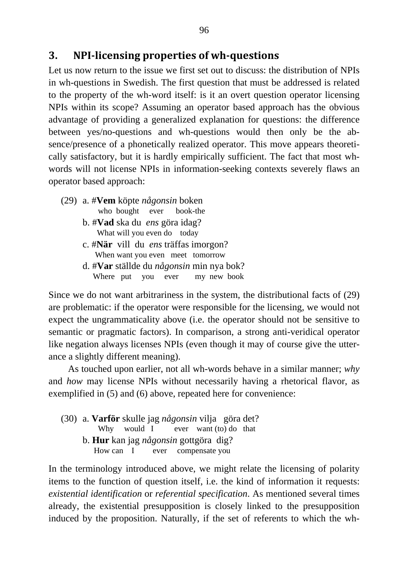## **3. NPIlicensing properties of whquestions**

Let us now return to the issue we first set out to discuss: the distribution of NPIs in wh-questions in Swedish. The first question that must be addressed is related to the property of the wh-word itself: is it an overt question operator licensing NPIs within its scope? Assuming an operator based approach has the obvious advantage of providing a generalized explanation for questions: the difference between yes/no-questions and wh-questions would then only be the absence/presence of a phonetically realized operator. This move appears theoretically satisfactory, but it is hardly empirically sufficient. The fact that most whwords will not license NPIs in information-seeking contexts severely flaws an operator based approach:

- (29) a. #**Vem** köpte *någonsin* boken who bought ever book-the
	- b. #**Vad** ska du *ens* göra idag? What will you even do today
	- c. #**När** vill du *ens* träffas imorgon? When want you even meet tomorrow
	- d. #**Var** ställde du *någonsin* min nya bok? Where put you ever my new book

Since we do not want arbitrariness in the system, the distributional facts of (29) are problematic: if the operator were responsible for the licensing, we would not expect the ungrammaticality above (i.e. the operator should not be sensitive to semantic or pragmatic factors). In comparison, a strong anti-veridical operator like negation always licenses NPIs (even though it may of course give the utterance a slightly different meaning).

 As touched upon earlier, not all wh-words behave in a similar manner; *why* and *how* may license NPIs without necessarily having a rhetorical flavor, as exemplified in (5) and (6) above, repeated here for convenience:

(30) a. **Varför** skulle jag *någonsin* vilja göra det? Why would I ever want (to) do that b. **Hur** kan jag *någonsin* gottgöra dig? How can I ever compensate you

In the terminology introduced above, we might relate the licensing of polarity items to the function of question itself, i.e. the kind of information it requests: *existential identification* or *referential specification*. As mentioned several times already, the existential presupposition is closely linked to the presupposition induced by the proposition. Naturally, if the set of referents to which the wh-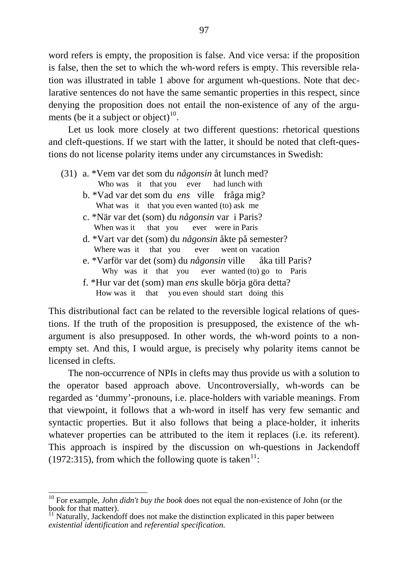word refers is empty, the proposition is false. And vice versa: if the proposition is false, then the set to which the wh-word refers is empty. This reversible relation was illustrated in table 1 above for argument wh-questions. Note that declarative sentences do not have the same semantic properties in this respect, since denying the proposition does not entail the non-existence of any of the argu-ments (be it a subject or object)<sup>[10](#page-14-0)</sup>.

 Let us look more closely at two different questions: rhetorical questions and cleft-questions. If we start with the latter, it should be noted that cleft-questions do not license polarity items under any circumstances in Swedish:

(31) a. \*Vem var det som du *någonsin* åt lunch med? Who was it that you ever had lunch with b. \*Vad var det som du *ens* ville fråga mig? What was it that you even wanted (to) ask me c. \*När var det (som) du *någonsin* var i Paris? When was it that you ever were in Paris d. \*Vart var det (som) du *någonsin* åkte på semester? Where was it that you ever went on vacation e. \*Varför var det (som) du *någonsin* ville åka till Paris? Why was it that you ever wanted (to) go to Paris f. \*Hur var det (som) man *ens* skulle börja göra detta? How was it that you even should start doing this

This distributional fact can be related to the reversible logical relations of questions. If the truth of the proposition is presupposed, the existence of the whargument is also presupposed. In other words, the wh-word points to a nonempty set. And this, I would argue, is precisely why polarity items cannot be licensed in clefts.

 The non-occurrence of NPIs in clefts may thus provide us with a solution to the operator based approach above. Uncontroversially, wh-words can be regarded as 'dummy'-pronouns, i.e. place-holders with variable meanings. From that viewpoint, it follows that a wh-word in itself has very few semantic and syntactic properties. But it also follows that being a place-holder, it inherits whatever properties can be attributed to the item it replaces (i.e. its referent). This approach is inspired by the discussion on wh-questions in Jackendoff (1972:315), from which the following quote is taken<sup>[11](#page-14-1)</sup>:

<span id="page-14-0"></span> $\frac{1}{10}$ 10 For example, *John didn't buy the book* does not equal the non-existence of John (or the book for that matter).

<span id="page-14-1"></span> $11$  Naturally, Jackendoff does not make the distinction explicated in this paper between *existential identification* and *referential specification*.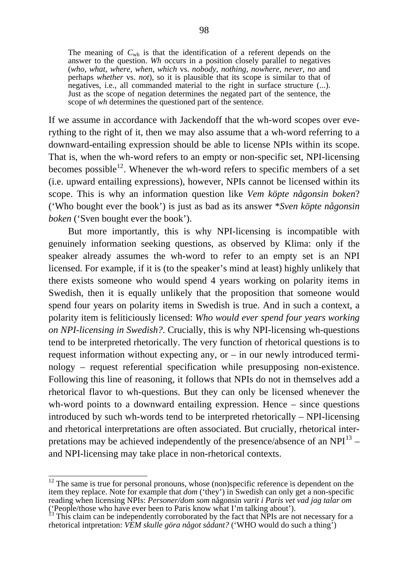The meaning of *C*wh is that the identification of a referent depends on the answer to the question. *Wh* occurs in a position closely parallel to negatives (*who*, *what*, *where*, *when*, *which* vs. *nobody*, *nothing*, *nowhere*, *never*, *no* and perhaps *whether* vs. *not*), so it is plausible that its scope is similar to that of negatives, i.e., all commanded material to the right in surface structure (...). Just as the scope of negation determines the negated part of the sentence, the scope of *wh* determines the questioned part of the sentence.

If we assume in accordance with Jackendoff that the wh-word scopes over everything to the right of it, then we may also assume that a wh-word referring to a downward-entailing expression should be able to license NPIs within its scope. That is, when the wh-word refers to an empty or non-specific set, NPI-licensing becomes possible<sup>[12](#page-15-0)</sup>. Whenever the wh-word refers to specific members of a set (i.e. upward entailing expressions), however, NPIs cannot be licensed within its scope. This is why an information question like *Vem köpte någonsin boken*? ('Who bought ever the book') is just as bad as its answer \**Sven köpte någonsin boken* ('Sven bought ever the book').

 But more importantly, this is why NPI-licensing is incompatible with genuinely information seeking questions, as observed by Klima: only if the speaker already assumes the wh-word to refer to an empty set is an NPI licensed. For example, if it is (to the speaker's mind at least) highly unlikely that there exists someone who would spend 4 years working on polarity items in Swedish, then it is equally unlikely that the proposition that someone would spend four years on polarity items in Swedish is true. And in such a context, a polarity item is feliticiously licensed: *Who would ever spend four years working on NPI-licensing in Swedish?*. Crucially, this is why NPI-licensing wh-questions tend to be interpreted rhetorically. The very function of rhetorical questions is to request information without expecting any, or  $-$  in our newly introduced terminology – request referential specification while presupposing non-existence. Following this line of reasoning, it follows that NPIs do not in themselves add a rhetorical flavor to wh-questions. But they can only be licensed whenever the wh-word points to a downward entailing expression. Hence – since questions introduced by such wh-words tend to be interpreted rhetorically – NPI-licensing and rhetorical interpretations are often associated. But crucially, rhetorical interpretations may be achieved independently of the presence/absence of an NPI $^{13}$  $^{13}$  $^{13}$  – and NPI-licensing may take place in non-rhetorical contexts.

 $\frac{1}{12}$ 

<span id="page-15-0"></span> $12$  The same is true for personal pronouns, whose (non)specific reference is dependent on the item they replace. Note for example that *dom* ('they') in Swedish can only get a non-specific reading when licensing NPIs: *Personer/dom som* någonsin *varit i Paris vet vad jag talar om* ('People/those who have ever been to Paris know what I'm talking about').  $13$  This claim can be independently corroborated by the fact that NPIs are not necessary for a

<span id="page-15-1"></span>rhetorical intpretation: *VEM skulle göra något sådant?* ('WHO would do such a thing')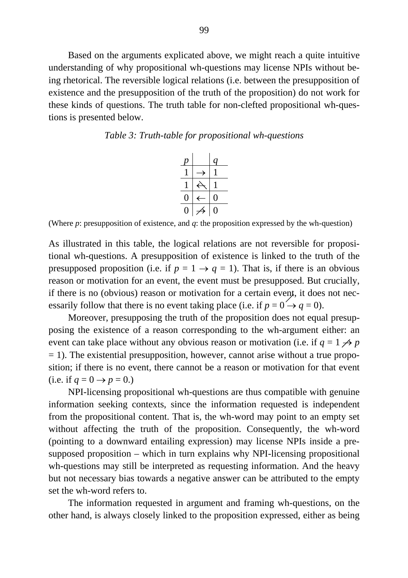Based on the arguments explicated above, we might reach a quite intuitive understanding of why propositional wh-questions may license NPIs without being rhetorical. The reversible logical relations (i.e. between the presupposition of existence and the presupposition of the truth of the proposition) do not work for these kinds of questions. The truth table for non-clefted propositional wh-questions is presented below.





(Where *p*: presupposition of existence, and *q*: the proposition expressed by the wh-question)

As illustrated in this table, the logical relations are not reversible for propositional wh-questions. A presupposition of existence is linked to the truth of the presupposed proposition (i.e. if  $p = 1 \rightarrow q = 1$ ). That is, if there is an obvious reason or motivation for an event, the event must be presupposed. But crucially, if there is no (obvious) reason or motivation for a certain event, it does not necessarily follow that there is no event taking place (i.e. if  $p = 0 \rightarrow q = 0$ ).

 Moreover, presupposing the truth of the proposition does not equal presupposing the existence of a reason corresponding to the wh-argument either: an event can take place without any obvious reason or motivation (i.e. if  $q = 1 \nleftrightarrow p$  $= 1$ ). The existential presupposition, however, cannot arise without a true proposition; if there is no event, there cannot be a reason or motivation for that event (i.e. if  $q = 0 \rightarrow p = 0$ .)

 NPI-licensing propositional wh-questions are thus compatible with genuine information seeking contexts, since the information requested is independent from the propositional content. That is, the wh-word may point to an empty set without affecting the truth of the proposition. Consequently, the wh-word (pointing to a downward entailing expression) may license NPIs inside a presupposed proposition – which in turn explains why NPI-licensing propositional wh-questions may still be interpreted as requesting information. And the heavy but not necessary bias towards a negative answer can be attributed to the empty set the wh-word refers to.

 The information requested in argument and framing wh-questions, on the other hand, is always closely linked to the proposition expressed, either as being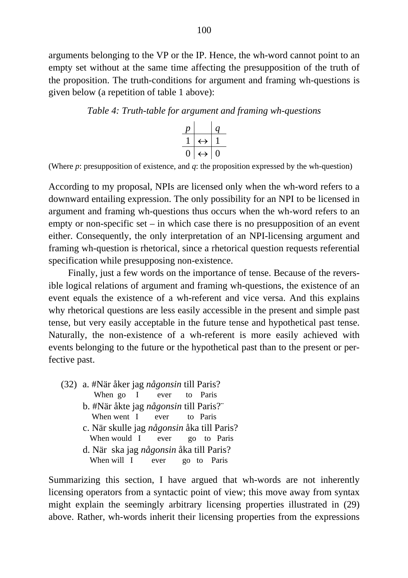arguments belonging to the VP or the IP. Hence, the wh-word cannot point to an empty set without at the same time affecting the presupposition of the truth of the proposition. The truth-conditions for argument and framing wh-questions is given below (a repetition of table 1 above):

#### *Table 4: Truth-table for argument and framing wh-questions*



(Where *p*: presupposition of existence, and *q*: the proposition expressed by the wh-question)

According to my proposal, NPIs are licensed only when the wh-word refers to a downward entailing expression. The only possibility for an NPI to be licensed in argument and framing wh-questions thus occurs when the wh-word refers to an empty or non-specific set – in which case there is no presupposition of an event either. Consequently, the only interpretation of an NPI-licensing argument and framing wh-question is rhetorical, since a rhetorical question requests referential specification while presupposing non-existence.

 Finally, just a few words on the importance of tense. Because of the reversible logical relations of argument and framing wh-questions, the existence of an event equals the existence of a wh-referent and vice versa. And this explains why rhetorical questions are less easily accessible in the present and simple past tense, but very easily acceptable in the future tense and hypothetical past tense. Naturally, the non-existence of a wh-referent is more easily achieved with events belonging to the future or the hypothetical past than to the present or perfective past.

(32) a. #När åker jag *någonsin* till Paris? When go I ever to Paris b. #När åkte jag *någonsin* till Paris?¨ When went I ever to Paris c. När skulle jag *någonsin* åka till Paris? When would I ever go to Paris d. När ska jag *någonsin* åka till Paris? When will I ever go to Paris

Summarizing this section, I have argued that wh-words are not inherently licensing operators from a syntactic point of view; this move away from syntax might explain the seemingly arbitrary licensing properties illustrated in (29) above. Rather, wh-words inherit their licensing properties from the expressions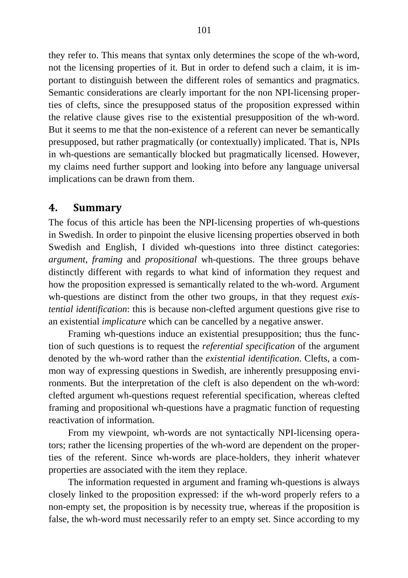they refer to. This means that syntax only determines the scope of the wh-word, not the licensing properties of it. But in order to defend such a claim, it is important to distinguish between the different roles of semantics and pragmatics. Semantic considerations are clearly important for the non NPI-licensing properties of clefts, since the presupposed status of the proposition expressed within the relative clause gives rise to the existential presupposition of the wh-word. But it seems to me that the non-existence of a referent can never be semantically presupposed, but rather pragmatically (or contextually) implicated. That is, NPIs in wh-questions are semantically blocked but pragmatically licensed. However, my claims need further support and looking into before any language universal implications can be drawn from them.

#### **4. Summary**

The focus of this article has been the NPI-licensing properties of wh-questions in Swedish. In order to pinpoint the elusive licensing properties observed in both Swedish and English, I divided wh-questions into three distinct categories: *argument*, *framing* and *propositional* wh-questions. The three groups behave distinctly different with regards to what kind of information they request and how the proposition expressed is semantically related to the wh-word. Argument wh-questions are distinct from the other two groups, in that they request *existential identification*: this is because non-clefted argument questions give rise to an existential *implicature* which can be cancelled by a negative answer.

 Framing wh-questions induce an existential presupposition; thus the function of such questions is to request the *referential specification* of the argument denoted by the wh-word rather than the *existential identification*. Clefts, a common way of expressing questions in Swedish, are inherently presupposing environments. But the interpretation of the cleft is also dependent on the wh-word: clefted argument wh-questions request referential specification, whereas clefted framing and propositional wh-questions have a pragmatic function of requesting reactivation of information.

 From my viewpoint, wh-words are not syntactically NPI-licensing operators; rather the licensing properties of the wh-word are dependent on the properties of the referent. Since wh-words are place-holders, they inherit whatever properties are associated with the item they replace.

 The information requested in argument and framing wh-questions is always closely linked to the proposition expressed: if the wh-word properly refers to a non-empty set, the proposition is by necessity true, whereas if the proposition is false, the wh-word must necessarily refer to an empty set. Since according to my